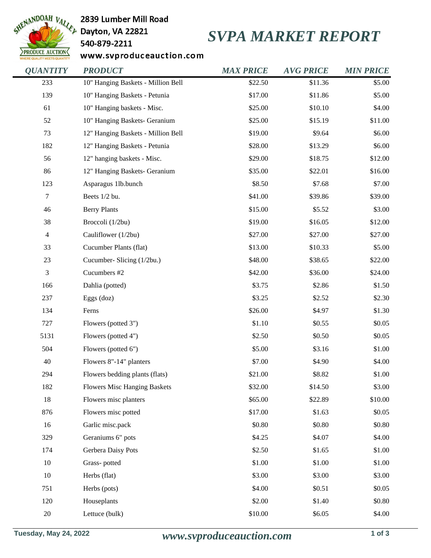

2839 Lumber Mill Road

540-879-2211

## *SVPA MARKET REPORT*

www.svproduceauction.com

| <b>OUANTITY</b>  | <b>PRODUCT</b>                      | <b>MAX PRICE</b> | <b>AVG PRICE</b> | <b>MIN PRICE</b> |
|------------------|-------------------------------------|------------------|------------------|------------------|
| 233              | 10" Hanging Baskets - Million Bell  | \$22.50          | \$11.36          | \$5.00           |
| 139              | 10" Hanging Baskets - Petunia       | \$17.00          | \$11.86          | \$5.00           |
| 61               | 10" Hanging baskets - Misc.         | \$25.00          | \$10.10          | \$4.00           |
| 52               | 10" Hanging Baskets- Geranium       | \$25.00          | \$15.19          | \$11.00          |
| 73               | 12" Hanging Baskets - Million Bell  | \$19.00          | \$9.64           | \$6.00           |
| 182              | 12" Hanging Baskets - Petunia       | \$28.00          | \$13.29          | \$6.00           |
| 56               | 12" hanging baskets - Misc.         | \$29.00          | \$18.75          | \$12.00          |
| 86               | 12" Hanging Baskets- Geranium       | \$35.00          | \$22.01          | \$16.00          |
| 123              | Asparagus 1lb.bunch                 | \$8.50           | \$7.68           | \$7.00           |
| $\boldsymbol{7}$ | Beets 1/2 bu.                       | \$41.00          | \$39.86          | \$39.00          |
| 46               | <b>Berry Plants</b>                 | \$15.00          | \$5.52           | \$3.00           |
| 38               | Broccoli (1/2bu)                    | \$19.00          | \$16.05          | \$12.00          |
| $\overline{4}$   | Cauliflower (1/2bu)                 | \$27.00          | \$27.00          | \$27.00          |
| 33               | Cucumber Plants (flat)              | \$13.00          | \$10.33          | \$5.00           |
| 23               | Cucumber- Slicing (1/2bu.)          | \$48.00          | \$38.65          | \$22.00          |
| $\mathfrak{Z}$   | Cucumbers #2                        | \$42.00          | \$36.00          | \$24.00          |
| 166              | Dahlia (potted)                     | \$3.75           | \$2.86           | \$1.50           |
| 237              | Eggs (doz)                          | \$3.25           | \$2.52           | \$2.30           |
| 134              | Ferns                               | \$26.00          | \$4.97           | \$1.30           |
| 727              | Flowers (potted 3")                 | \$1.10           | \$0.55           | \$0.05           |
| 5131             | Flowers (potted 4")                 | \$2.50           | \$0.50           | \$0.05           |
| 504              | Flowers (potted 6")                 | \$5.00           | \$3.16           | \$1.00           |
| $40\,$           | Flowers 8"-14" planters             | \$7.00           | \$4.90           | \$4.00           |
| 294              | Flowers bedding plants (flats)      | \$21.00          | \$8.82           | \$1.00           |
| 182              | <b>Flowers Misc Hanging Baskets</b> | \$32.00          | \$14.50          | \$3.00           |
| 18               | Flowers misc planters               | \$65.00          | \$22.89          | \$10.00          |
| 876              | Flowers misc potted                 | \$17.00          | \$1.63           | \$0.05           |
| 16               | Garlic misc.pack                    | \$0.80           | \$0.80           | \$0.80           |
| 329              | Geraniums 6" pots                   | \$4.25           | \$4.07           | \$4.00           |
| 174              | Gerbera Daisy Pots                  | \$2.50           | \$1.65           | \$1.00           |
| 10               | Grass-potted                        | \$1.00           | \$1.00           | \$1.00           |
| 10               | Herbs (flat)                        | \$3.00           | \$3.00           | \$3.00           |
| 751              | Herbs (pots)                        | \$4.00           | \$0.51           | \$0.05           |
| 120              | Houseplants                         | \$2.00           | \$1.40           | \$0.80           |
| $20\,$           | Lettuce (bulk)                      | \$10.00          | \$6.05           | \$4.00           |
|                  |                                     |                  |                  |                  |

**Tuesday, May 24, 2022** *www.svproduceauction.com* **1 of 3**